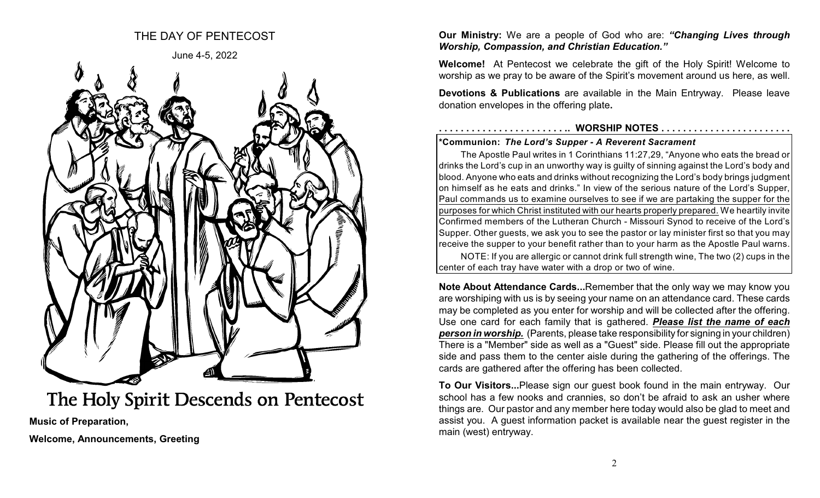

# The Holy Spirit Descends on Pentecost

**Music of Preparation,**

**Welcome, Announcements, Greeting**

**Our Ministry:** We are a people of God who are: *"Changing Lives through Worship, Compassion, and Christian Education."*

**Welcome!** At Pentecost we celebrate the gift of the Holy Spirit! Welcome to worship as we pray to be aware of the Spirit's movement around us here, as well.

**Devotions & Publications** are available in the Main Entryway. Please leave donation envelopes in the offering plate**.**

### **. . . . . . . . . . . . . . . . . . . . . . . .. WORSHIP NOTES . . . . . . . . . . . . . . . . . . . . . . . .**

### **\*Communion:** *The Lord's Supper - A Reverent Sacrament*

The Apostle Paul writes in 1 Corinthians 11:27,29, "Anyone who eats the bread or drinks the Lord's cup in an unworthy way is guilty of sinning against the Lord's body and blood. Anyone who eats and drinks without recognizing the Lord's body brings judgment on himself as he eats and drinks." In view of the serious nature of the Lord's Supper, Paul commands us to examine ourselves to see if we are partaking the supper for the purposes for which Christ instituted with our hearts properly prepared. We heartily invite Confirmed members of the Lutheran Church - Missouri Synod to receive of the Lord's Supper. Other guests, we ask you to see the pastor or lay minister first so that you may receive the supper to your benefit rather than to your harm as the Apostle Paul warns.

NOTE: If you are allergic or cannot drink full strength wine, The two (2) cups in the center of each tray have water with a drop or two of wine.

**Note About Attendance Cards...**Remember that the only way we may know you are worshiping with us is by seeing your name on an attendance card. These cards may be completed as you enter for worship and will be collected after the offering. Use one card for each family that is gathered. *Please list the name of each person in worship.* (Parents, please take responsibility for signing in your children) There is a "Member" side as well as a "Guest" side. Please fill out the appropriate side and pass them to the center aisle during the gathering of the offerings. The cards are gathered after the offering has been collected.

**To Our Visitors...**Please sign our guest book found in the main entryway. Our school has a few nooks and crannies, so don't be afraid to ask an usher where things are. Our pastor and any member here today would also be glad to meet and assist you. A guest information packet is available near the guest register in the main (west) entryway.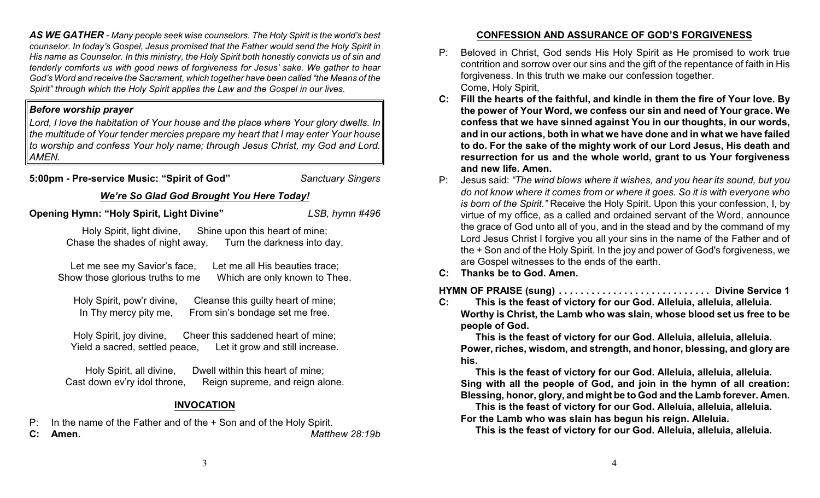*AS WE GATHER - Many people seek wise counselors. The Holy Spirit is the world's best counselor. In today's Gospel, Jesus promised that the Father would send the Holy Spirit in His name as Counselor. In this ministry, the Holy Spirit both honestly convicts us of sin and tenderly comforts us with good news of forgiveness for Jesus' sake. We gather to hear God's Word and receive the Sacrament, which together have been called "the Means of the Spirit" through which the Holy Spirit applies the Law and the Gospel in our lives.*

### *Before worship prayer*

*Lord, I love the habitation of Your house and the place where Your glory dwells. In the multitude of Your tender mercies prepare my heart that I may enter Your house to worship and confess Your holy name; through Jesus Christ, my God and Lord. AMEN.*

**5:00pm - Pre-service Music: "Spirit of God"** *Sanctuary Singers*

### *We're So Glad God Brought You Here Today!*

**Opening Hymn: "Holy Spirit, Light Divine"** *LSB, hymn #496*

Holy Spirit, light divine. Shine upon this heart of mine: Chase the shades of night away, Turn the darkness into day.

Let me see my Savior's face, Let me all His beauties trace; Show those glorious truths to me Which are only known to Thee.

Holy Spirit, pow'r divine, Cleanse this guilty heart of mine; In Thy mercy pity me, From sin's bondage set me free.

Holy Spirit, joy divine, Cheer this saddened heart of mine; Yield a sacred, settled peace, Let it grow and still increase.

Holy Spirit, all divine, Dwell within this heart of mine; Cast down ev'ry idol throne, Reign supreme, and reign alone.

### **INVOCATION**

- P: In the name of the Father and of the + Son and of the Holy Spirit.
- **C: Amen.** *Matthew 28:19b*

**CONFESSION AND ASSURANCE OF GOD'S FORGIVENESS**

- P: Beloved in Christ, God sends His Holy Spirit as He promised to work true contrition and sorrow over our sins and the gift of the repentance of faith in His forgiveness. In this truth we make our confession together. Come, Holy Spirit,
- **C: Fill the hearts of the faithful, and kindle in them the fire of Your love. By the power of Your Word, we confess our sin and need of Your grace. We confess that we have sinned against You in our thoughts, in our words, and in our actions, both in what we have done and in what we have failed to do. For the sake of the mighty work of our Lord Jesus, His death and resurrection for us and the whole world, grant to us Your forgiveness and new life. Amen.**
- P: Jesus said: *"The wind blows where it wishes, and you hear its sound, but you do not know where it comes from or where it goes. So it is with everyone who is born of the Spirit."* Receive the Holy Spirit. Upon this your confession, I, by virtue of my office, as a called and ordained servant of the Word, announce the grace of God unto all of you, and in the stead and by the command of my Lord Jesus Christ I forgive you all your sins in the name of the Father and of the + Son and of the Holy Spirit. In the joy and power of God's forgiveness, we are Gospel witnesses to the ends of the earth.
- **C: Thanks be to God. Amen.**

**HYMN OF PRAISE (sung) ... ... ... ... ... ... ... ... ... . Divine Service 1**

**C: This is the feast of victory for our God. Alleluia, alleluia, alleluia. Worthy is Christ, the Lamb who was slain, whose blood set us free to be people of God.**

**This is the feast of victory for our God. Alleluia, alleluia, alleluia. Power, riches, wisdom, and strength, and honor, blessing, and glory are his.**

**This is the feast of victory for our God. Alleluia, alleluia, alleluia. Sing with all the people of God, and join in the hymn of all creation: Blessing, honor, glory, and might be to God and the Lamb forever. Amen.**

**This is the feast of victory for our God. Alleluia, alleluia, alleluia. For the Lamb who was slain has begun his reign. Alleluia.**

**This is the feast of victory for our God. Alleluia, alleluia, alleluia.**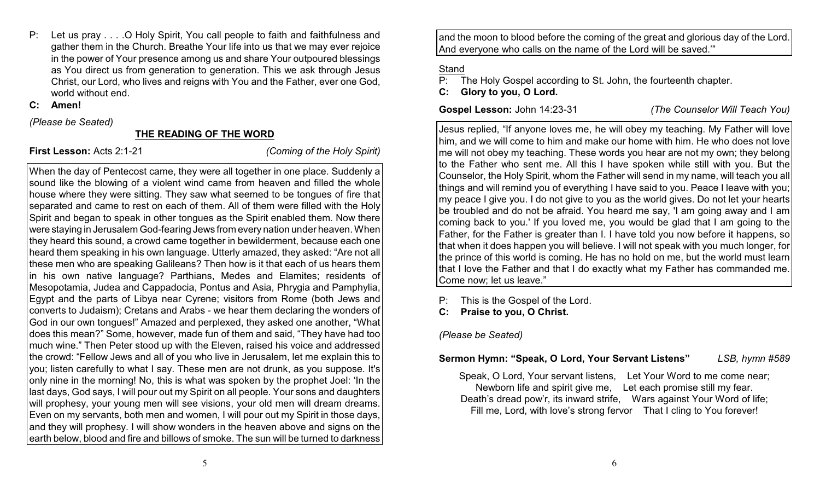- P: Let us pray . . . . O Holy Spirit, You call people to faith and faithfulness and gather them in the Church. Breathe Your life into us that we may ever rejoice in the power of Your presence among us and share Your outpoured blessings as You direct us from generation to generation. This we ask through Jesus Christ, our Lord, who lives and reigns with You and the Father, ever one God, world without end.
- **C: Amen!**

*(Please be Seated)*

### **THE READING OF THE WORD**

**First Lesson:** Acts 2:1-21 *(Coming of the Holy Spirit)*

When the day of Pentecost came, they were all together in one place. Suddenly a sound like the blowing of a violent wind came from heaven and filled the whole house where they were sitting. They saw what seemed to be tongues of fire that separated and came to rest on each of them. All of them were filled with the Holy Spirit and began to speak in other tongues as the Spirit enabled them. Now there were staying in Jerusalem God-fearing Jews from every nation under heaven. When they heard this sound, a crowd came together in bewilderment, because each one heard them speaking in his own language. Utterly amazed, they asked: "Are not all these men who are speaking Galileans? Then how is it that each of us hears them in his own native language? Parthians, Medes and Elamites; residents of Mesopotamia, Judea and Cappadocia, Pontus and Asia, Phrygia and Pamphylia, Egypt and the parts of Libya near Cyrene; visitors from Rome (both Jews and converts to Judaism); Cretans and Arabs - we hear them declaring the wonders of God in our own tongues!" Amazed and perplexed, they asked one another, "What does this mean?" Some, however, made fun of them and said, "They have had too much wine." Then Peter stood up with the Eleven, raised his voice and addressed the crowd: "Fellow Jews and all of you who live in Jerusalem, let me explain this to you; listen carefully to what I say. These men are not drunk, as you suppose. It's only nine in the morning! No, this is what was spoken by the prophet Joel: 'In the last days, God says, I will pour out my Spirit on all people. Your sons and daughters will prophesy, your young men will see visions, your old men will dream dreams. Even on my servants, both men and women, I will pour out my Spirit in those days, and they will prophesy. I will show wonders in the heaven above and signs on the earth below, blood and fire and billows of smoke. The sun will be turned to darkness

and the moon to blood before the coming of the great and glorious day of the Lord. And everyone who calls on the name of the Lord will be saved.'"

### Stand

- P: The Holy Gospel according to St. John, the fourteenth chapter.
- **C: Glory to you, O Lord.**

**Gospel Lesson:** John 14:23-31 *(The Counselor Will Teach You)*

Jesus replied, "If anyone loves me, he will obey my teaching. My Father will love him, and we will come to him and make our home with him. He who does not love me will not obey my teaching. These words you hear are not my own; they belong to the Father who sent me. All this I have spoken while still with you. But the Counselor, the Holy Spirit, whom the Father will send in my name, will teach you all things and will remind you of everything I have said to you. Peace I leave with you; my peace I give you. I do not give to you as the world gives. Do not let your hearts be troubled and do not be afraid. You heard me say, 'I am going away and I am coming back to you.' If you loved me, you would be glad that I am going to the Father, for the Father is greater than I. I have told you now before it happens, so that when it does happen you will believe. I will not speak with you much longer, for the prince of this world is coming. He has no hold on me, but the world must learn that I love the Father and that I do exactly what my Father has commanded me. Come now; let us leave."

P: This is the Gospel of the Lord.

**C: Praise to you, O Christ.**

*(Please be Seated)*

### **Sermon Hymn: "Speak, O Lord, Your Servant Listens"** *LSB, hymn #589*

Speak, O Lord, Your servant listens, Let Your Word to me come near; Newborn life and spirit give me, Let each promise still my fear. Death's dread pow'r, its inward strife, Wars against Your Word of life; Fill me, Lord, with love's strong fervor That I cling to You forever!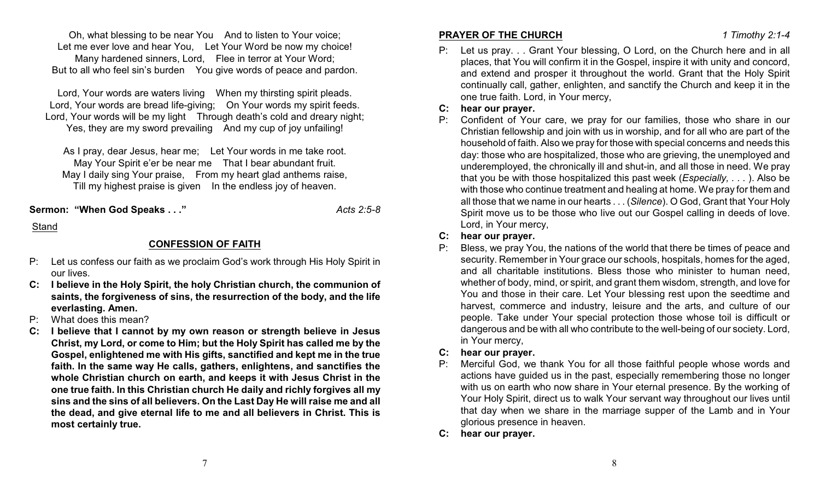Oh, what blessing to be near You And to listen to Your voice; Let me ever love and hear You, Let Your Word be now my choice! Many hardened sinners, Lord, Flee in terror at Your Word; But to all who feel sin's burden You give words of peace and pardon.

Lord, Your words are waters living When my thirsting spirit pleads. Lord, Your words are bread life-giving; On Your words my spirit feeds. Lord, Your words will be my light Through death's cold and dreary night; Yes, they are my sword prevailing And my cup of joy unfailing!

As I pray, dear Jesus, hear me; Let Your words in me take root. May Your Spirit e'er be near me That I bear abundant fruit. May I daily sing Your praise, From my heart glad anthems raise, Till my highest praise is given In the endless joy of heaven.

**Sermon: "When God Speaks . . ."** *Acts 2:5-8* 

**Stand** 

### **CONFESSION OF FAITH**

- P: Let us confess our faith as we proclaim God's work through His Holy Spirit in our lives.
- **C: I believe in the Holy Spirit, the holy Christian church, the communion of saints, the forgiveness of sins, the resurrection of the body, and the life everlasting. Amen.**
- P: What does this mean?
- **C: I believe that I cannot by my own reason or strength believe in Jesus Christ, my Lord, or come to Him; but the Holy Spirit has called me by the Gospel, enlightened me with His gifts, sanctified and kept me in the true faith. In the same way He calls, gathers, enlightens, and sanctifies the whole Christian church on earth, and keeps it with Jesus Christ in the one true faith. In this Christian church He daily and richly forgives all my sins and the sins of all believers. On the Last Day He will raise me and all the dead, and give eternal life to me and all believers in Christ. This is most certainly true.**

### **PRAYER OF THE CHURCH** *1 Timothy 2:1-4*

- P: Let us pray. . . Grant Your blessing, O Lord, on the Church here and in all places, that You will confirm it in the Gospel, inspire it with unity and concord, and extend and prosper it throughout the world. Grant that the Holy Spirit continually call, gather, enlighten, and sanctify the Church and keep it in the one true faith. Lord, in Your mercy,
- **C: hear our prayer.**
- P: Confident of Your care, we pray for our families, those who share in our Christian fellowship and join with us in worship, and for all who are part of the household of faith. Also we pray for those with special concerns and needs this day: those who are hospitalized, those who are grieving, the unemployed and underemployed, the chronically ill and shut-in, and all those in need. We pray that you be with those hospitalized this past week (*Especially, . . .* ). Also be with those who continue treatment and healing at home. We pray for them and all those that we name in our hearts . . . (*Silence*). O God, Grant that Your Holy Spirit move us to be those who live out our Gospel calling in deeds of love. Lord, in Your mercy,

### **C: hear our prayer.**

P: Bless, we pray You, the nations of the world that there be times of peace and security. Remember in Your grace our schools, hospitals, homes for the aged, and all charitable institutions. Bless those who minister to human need, whether of body, mind, or spirit, and grant them wisdom, strength, and love for You and those in their care. Let Your blessing rest upon the seedtime and harvest, commerce and industry, leisure and the arts, and culture of our people. Take under Your special protection those whose toil is difficult or dangerous and be with all who contribute to the well-being of our society. Lord, in Your mercy,

### **C: hear our prayer.**

- P: Merciful God, we thank You for all those faithful people whose words and actions have guided us in the past, especially remembering those no longer with us on earth who now share in Your eternal presence. By the working of Your Holy Spirit, direct us to walk Your servant way throughout our lives until that day when we share in the marriage supper of the Lamb and in Your glorious presence in heaven.
- **C: hear our prayer.**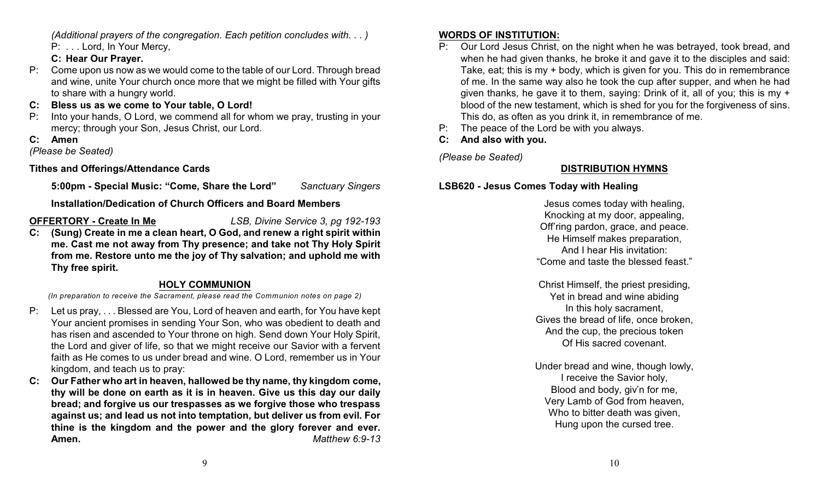*(Additional prayers of the congregation. Each petition concludes with. . . )* P: ... Lord, In Your Mercy,

### **C: Hear Our Prayer.**

- P: Come upon us now as we would come to the table of our Lord. Through bread and wine, unite Your church once more that we might be filled with Your gifts to share with a hungry world.
- **C: Bless us as we come to Your table, O Lord!**
- P: Into your hands, O Lord, we commend all for whom we pray, trusting in your mercy; through your Son, Jesus Christ, our Lord.

### **C: Amen**

*(Please be Seated)*

**Tithes and Offerings/Attendance Cards**

**5:00pm - Special Music: "Come, Share the Lord"** *Sanctuary Singers*

**Installation/Dedication of Church Officers and Board Members**

**OFFERTORY - Create In Me** *LSB, Divine Service 3, pg 192-193*

**C: (Sung) Create in me a clean heart, O God, and renew a right spirit within me. Cast me not away from Thy presence; and take not Thy Holy Spirit from me. Restore unto me the joy of Thy salvation; and uphold me with Thy free spirit.**

### **HOLY COMMUNION**

*(In preparation to receive the Sacrament, please read the Communion notes on page 2)*

- P: Let us pray, . . . Blessed are You, Lord of heaven and earth, for You have kept Your ancient promises in sending Your Son, who was obedient to death and has risen and ascended to Your throne on high. Send down Your Holy Spirit, the Lord and giver of life, so that we might receive our Savior with a fervent faith as He comes to us under bread and wine. O Lord, remember us in Your kingdom, and teach us to pray:
- **C: Our Father who art in heaven, hallowed be thy name, thy kingdom come, thy will be done on earth as it is in heaven. Give us this day our daily bread; and forgive us our trespasses as we forgive those who trespass against us; and lead us not into temptation, but deliver us from evil. For thine is the kingdom and the power and the glory forever and ever. Amen.** *Matthew 6:9-13*

### **WORDS OF INSTITUTION:**

- P: Our Lord Jesus Christ, on the night when he was betrayed, took bread, and when he had given thanks, he broke it and gave it to the disciples and said: Take, eat; this is my + body, which is given for you. This do in remembrance of me. In the same way also he took the cup after supper, and when he had given thanks, he gave it to them, saying: Drink of it, all of you; this is my + blood of the new testament, which is shed for you for the forgiveness of sins. This do, as often as you drink it, in remembrance of me.
- P: The peace of the Lord be with you always.
- **C: And also with you.**

*(Please be Seated)*

## **DISTRIBUTION HYMNS**

### **LSB620 - Jesus Comes Today with Healing**

Jesus comes today with healing, Knocking at my door, appealing, Off'ring pardon, grace, and peace. He Himself makes preparation, And I hear His invitation: "Come and taste the blessed feast."

Christ Himself, the priest presiding, Yet in bread and wine abiding In this holy sacrament, Gives the bread of life, once broken, And the cup, the precious token Of His sacred covenant.

Under bread and wine, though lowly, I receive the Savior holy, Blood and body, giv'n for me, Very Lamb of God from heaven, Who to bitter death was given, Hung upon the cursed tree.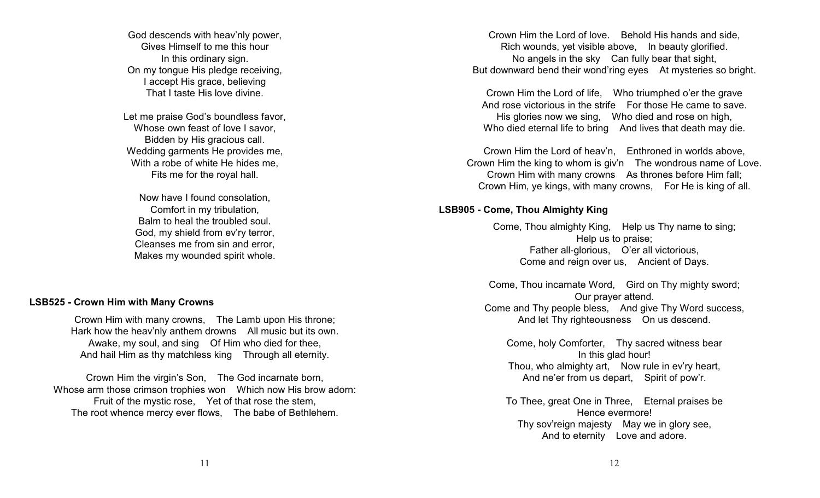God descends with heav'nly power, Gives Himself to me this hour In this ordinary sign. On my tongue His pledge receiving, I accept His grace, believing That I taste His love divine.

Let me praise God's boundless favor, Whose own feast of love I savor, Bidden by His gracious call. Wedding garments He provides me, With a robe of white He hides me, Fits me for the royal hall.

Now have I found consolation, Comfort in my tribulation, Balm to heal the troubled soul. God, my shield from ev'ry terror, Cleanses me from sin and error, Makes my wounded spirit whole.

### **LSB525 - Crown Him with Many Crowns**

Crown Him with many crowns, The Lamb upon His throne; Hark how the heav'nly anthem drowns All music but its own. Awake, my soul, and sing Of Him who died for thee, And hail Him as thy matchless king Through all eternity.

Crown Him the virgin's Son, The God incarnate born, Whose arm those crimson trophies won Which now His brow adorn: Fruit of the mystic rose, Yet of that rose the stem, The root whence mercy ever flows, The babe of Bethlehem.

Crown Him the Lord of love. Behold His hands and side, Rich wounds, yet visible above, In beauty glorified. No angels in the sky Can fully bear that sight, But downward bend their wond'ring eyes At mysteries so bright.

Crown Him the Lord of life, Who triumphed o'er the grave And rose victorious in the strife For those He came to save. His glories now we sing, Who died and rose on high, Who died eternal life to bring And lives that death may die.

Crown Him the Lord of heav'n, Enthroned in worlds above, Crown Him the king to whom is giv'n The wondrous name of Love. Crown Him with many crowns As thrones before Him fall; Crown Him, ye kings, with many crowns, For He is king of all.

### **LSB905 - Come, Thou Almighty King**

Come, Thou almighty King, Help us Thy name to sing; Help us to praise; Father all-glorious, O'er all victorious, Come and reign over us, Ancient of Days.

Come, Thou incarnate Word, Gird on Thy mighty sword; Our prayer attend. Come and Thy people bless, And give Thy Word success, And let Thy righteousness On us descend.

Come, holy Comforter, Thy sacred witness bear In this glad hour! Thou, who almighty art, Now rule in ev'ry heart, And ne'er from us depart, Spirit of pow'r.

To Thee, great One in Three, Eternal praises be Hence evermore! Thy sov'reign majesty May we in glory see, And to eternity Love and adore.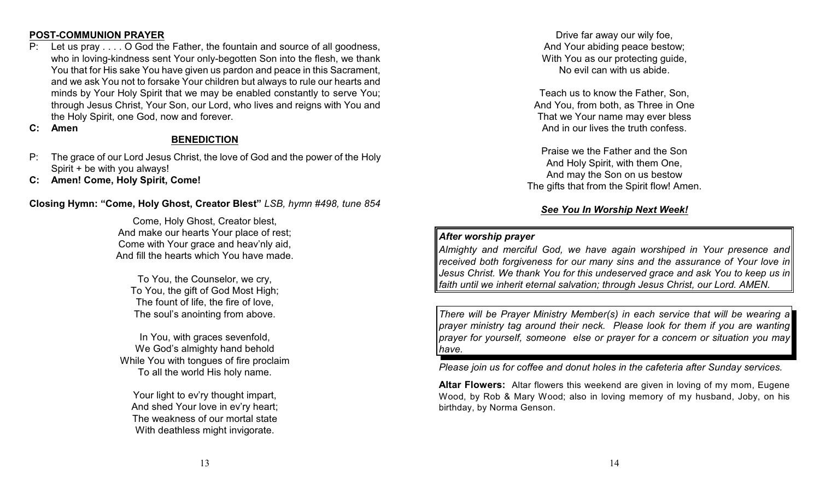### **POST-COMMUNION PRAYER**

- P: Let us pray . . . . O God the Father, the fountain and source of all goodness, who in loving-kindness sent Your only-begotten Son into the flesh, we thank You that for His sake You have given us pardon and peace in this Sacrament, and we ask You not to forsake Your children but always to rule our hearts and minds by Your Holy Spirit that we may be enabled constantly to serve You; through Jesus Christ, Your Son, our Lord, who lives and reigns with You and the Holy Spirit, one God, now and forever.
- **C: Amen**

### **BENEDICTION**

- P: The grace of our Lord Jesus Christ, the love of God and the power of the Holy Spirit + be with you always!
- **C: Amen! Come, Holy Spirit, Come!**

**Closing Hymn: "Come, Holy Ghost, Creator Blest"** *LSB, hymn #498, tune 854*

Come, Holy Ghost, Creator blest, And make our hearts Your place of rest; Come with Your grace and heav'nly aid, And fill the hearts which You have made.

To You, the Counselor, we cry, To You, the gift of God Most High; The fount of life, the fire of love, The soul's anointing from above.

In You, with graces sevenfold, We God's almighty hand behold While You with tongues of fire proclaim To all the world His holy name.

Your light to ev'ry thought impart, And shed Your love in ev'ry heart; The weakness of our mortal state With deathless might invigorate.

Drive far away our wily foe, And Your abiding peace bestow; With You as our protecting quide, No evil can with us abide.

Teach us to know the Father, Son, And You, from both, as Three in One That we Your name may ever bless And in our lives the truth confess.

Praise we the Father and the Son And Holy Spirit, with them One, And may the Son on us bestow The gifts that from the Spirit flow! Amen.

### *See You In Worship Next Week!*

### *After worship prayer*

*Almighty and merciful God, we have again worshiped in Your presence and received both forgiveness for our many sins and the assurance of Your love in Jesus Christ. We thank You for this undeserved grace and ask You to keep us in faith until we inherit eternal salvation; through Jesus Christ, our Lord. AMEN.*

*There will be Prayer Ministry Member(s) in each service that will be wearing a prayer ministry tag around their neck. Please look for them if you are wanting prayer for yourself, someone else or prayer for a concern or situation you may have.*

*Please join us for coffee and donut holes in the cafeteria after Sunday services.*

**Altar Flowers:** Altar flowers this weekend are given in loving of my mom, Eugene Wood, by Rob & Mary Wood; also in loving memory of my husband, Joby, on his birthday, by Norma Genson.